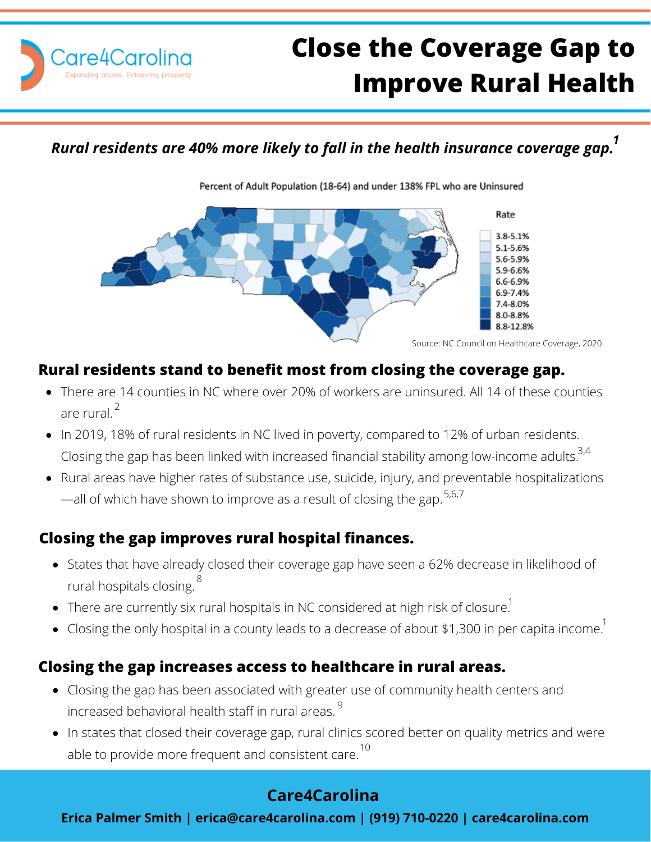

# **Close the Coverage Gap to Improve Rural Health**

*Rural residents are 40% more likely to fall in the health insurance coverage gap. 1*

Percent of Adult Population (18-64) and under 138% FPL who are Uninsured



#### **Rural residents stand to benefit most from closing the coverage gap.**

- There are 14 counties in NC where over 20% of workers are uninsured. All 14 of these counties are rural.<sup>2</sup>
- In 2019, 18% of rural residents in NC lived in poverty, compared to 12% of urban residents. Closing the gap has been linked with increased financial stability among low-income adults. $^{3,4}$
- Rural areas have higher rates of substance use, suicide, injury, and preventable hospitalizations —all of which have shown to improve as a result of closing the gap.  $5,6,7$

# **Closing the gap improves rural hospital finances.**

- States that have already closed their coverage gap have seen a 62% decrease in likelihood of rural hospitals closing. 8
- There are currently six rural hospitals in NC considered at high risk of closure. $^{\rm 1}$
- Closing the only hospital in a county leads to a decrease of about \$1,300 in per capita income. $^\mathrm{1}$

#### **Closing the gap increases access to healthcare in rural areas.**

- Closing the gap has been associated with greater use of community health centers and increased behavioral health staff in rural areas.  $^9$
- In states that closed their coverage gap, rural clinics scored better on quality metrics and were able to provide more frequent and consistent care.  $^{\rm 10}$

# **Care4Carolina**

**Erica Palmer Smith | erica@care4carolina.com | (919) 710-0220 | care4carolina.com**